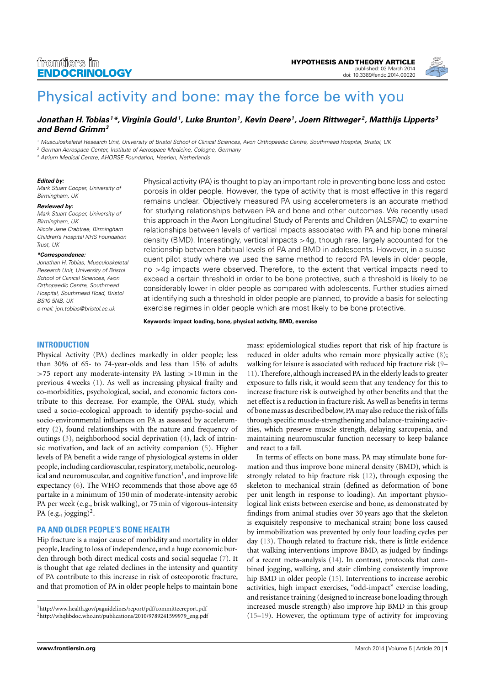## frontiers in **ENDOCRINOLOGY**



# [Physical activity and bone: may the force be with you](http://www.frontiersin.org/Journal/10.3389/fendo.2014.00020/abstract)

## **[Jonathan H. Tobias](http://www.frontiersin.org/people/u/21376) <sup>1</sup>\*, Virginia Gould<sup>1</sup> , Luke Brunton<sup>1</sup> , Kevin Deere<sup>1</sup> , [Joern Rittweger](http://www.frontiersin.org/people/u/102129) <sup>2</sup> , Matthijs Lipperts <sup>3</sup> and [Bernd Grimm](http://www.frontiersin.org/people/u/139392)<sup>3</sup>**

<sup>1</sup> Musculoskeletal Research Unit, University of Bristol School of Clinical Sciences, Avon Orthopaedic Centre, Southmead Hospital, Bristol, UK

<sup>2</sup> German Aerospace Center, Institute of Aerospace Medicine, Cologne, Germany

<sup>3</sup> Atrium Medical Centre, AHORSE Foundation, Heerlen, Netherlands

#### **Edited by:**

Mark Stuart Cooper, University of Birmingham, UK

#### **Reviewed by:**

Mark Stuart Cooper, University of Birmingham, UK Nicola Jane Crabtree, Birmingham Children's Hospital NHS Foundation Trust, UK

#### **\*Correspondence:**

Jonathan H. Tobias, Musculoskeletal Research Unit, University of Bristol School of Clinical Sciences, Avon Orthopaedic Centre, Southmead Hospital, Southmead Road, Bristol BS10 5NB, UK e-mail: [jon.tobias@bristol.ac.uk](mailto:jon.tobias@bristol.ac.uk)

Physical activity (PA) is thought to play an important role in preventing bone loss and osteoporosis in older people. However, the type of activity that is most effective in this regard remains unclear. Objectively measured PA using accelerometers is an accurate method for studying relationships between PA and bone and other outcomes. We recently used this approach in the Avon Longitudinal Study of Parents and Children (ALSPAC) to examine relationships between levels of vertical impacts associated with PA and hip bone mineral density (BMD). Interestingly, vertical impacts >4g, though rare, largely accounted for the relationship between habitual levels of PA and BMD in adolescents. However, in a subsequent pilot study where we used the same method to record PA levels in older people, no >4g impacts were observed. Therefore, to the extent that vertical impacts need to exceed a certain threshold in order to be bone protective, such a threshold is likely to be considerably lower in older people as compared with adolescents. Further studies aimed at identifying such a threshold in older people are planned, to provide a basis for selecting exercise regimes in older people which are most likely to be bone protective.

**Keywords: impact loading, bone, physical activity, BMD, exercise**

## **INTRODUCTION**

Physical Activity (PA) declines markedly in older people; less than 30% of 65- to 74-year-olds and less than 15% of adults >75 report any moderate-intensity PA lasting >10 min in the previous 4 weeks [\(1\)](#page-4-0). As well as increasing physical frailty and co-morbidities, psychological, social, and economic factors contribute to this decrease. For example, the OPAL study, which used a socio-ecological approach to identify psycho-social and socio-environmental influences on PA as assessed by accelerometry [\(2\)](#page-4-1), found relationships with the nature and frequency of outings [\(3\)](#page-4-2), neighborhood social deprivation [\(4\)](#page-4-3), lack of intrinsic motivation, and lack of an activity companion [\(5\)](#page-4-4). Higher levels of PA benefit a wide range of physiological systems in older people, including cardiovascular, respiratory, metabolic, neurological and neuromuscular, and cognitive function $^{\rm l}$ , and improve life expectancy [\(6\)](#page-4-5). The WHO recommends that those above age 65 partake in a minimum of 150 min of moderate-intensity aerobic PA per week (e.g., brisk walking), or 75 min of vigorous-intensity PA (e.g., jogging)<sup>[2](#page-0-1)</sup>.

## **PA AND OLDER PEOPLE'S BONE HEALTH**

Hip fracture is a major cause of morbidity and mortality in older people, leading to loss of independence, and a huge economic burden through both direct medical costs and social sequelae [\(7\)](#page-4-6). It is thought that age related declines in the intensity and quantity of PA contribute to this increase in risk of osteoporotic fracture, and that promotion of PA in older people helps to maintain bone

<span id="page-0-1"></span><span id="page-0-0"></span><sup>1</sup><http://www.health.gov/paguidelines/report/pdf/committeereport.pdf> <sup>2</sup>[http://whqlibdoc.who.int/publications/2010/9789241599979\\_eng.pdf](http://whqlibdoc.who.int/publications/2010/9789241599979_eng.pdf) mass: epidemiological studies report that risk of hip fracture is reduced in older adults who remain more physically active [\(8\)](#page-4-7); walking for leisure is associated with reduced hip fracture risk [\(9–](#page-4-8) [11\)](#page-4-9). Therefore, although increased PA in the elderly leads to greater exposure to falls risk, it would seem that any tendency for this to increase fracture risk is outweighed by other benefits and that the net effect is a reduction in fracture risk. As well as benefits in terms of bone mass as described below,PA may also reduce the risk of falls through specific muscle-strengthening and balance-training activities, which preserve muscle strength, delaying sarcopenia, and maintaining neuromuscular function necessary to keep balance and react to a fall.

In terms of effects on bone mass, PA may stimulate bone formation and thus improve bone mineral density (BMD), which is strongly related to hip fracture risk [\(12\)](#page-4-10), through exposing the skeleton to mechanical strain (defined as deformation of bone per unit length in response to loading). An important physiological link exists between exercise and bone, as demonstrated by findings from animal studies over 30 years ago that the skeleton is exquisitely responsive to mechanical strain; bone loss caused by immobilization was prevented by only four loading cycles per day [\(13\)](#page-4-11). Though related to fracture risk, there is little evidence that walking interventions improve BMD, as judged by findings of a recent meta-analysis [\(14\)](#page-4-12). In contrast, protocols that combined jogging, walking, and stair climbing consistently improve hip BMD in older people [\(15\)](#page-4-13). Interventions to increase aerobic activities, high impact exercises, "odd-impact" exercise loading, and resistance training (designed to increase bone loading through increased muscle strength) also improve hip BMD in this group [\(15–](#page-4-13)[19\)](#page-4-14). However, the optimum type of activity for improving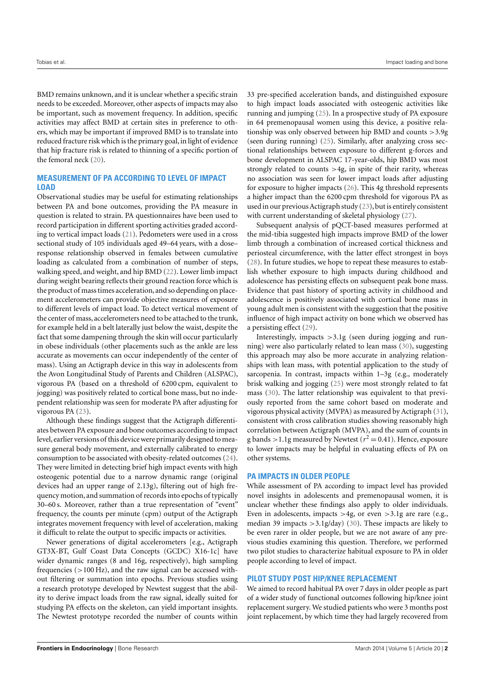BMD remains unknown, and it is unclear whether a specific strain needs to be exceeded. Moreover, other aspects of impacts may also be important, such as movement frequency. In addition, specific activities may affect BMD at certain sites in preference to others, which may be important if improved BMD is to translate into reduced fracture risk which is the primary goal, in light of evidence that hip fracture risk is related to thinning of a specific portion of the femoral neck [\(20\)](#page-4-15).

## **MEASUREMENT OF PA ACCORDING TO LEVEL OF IMPACT LOAD**

Observational studies may be useful for estimating relationships between PA and bone outcomes, providing the PA measure in question is related to strain. PA questionnaires have been used to record participation in different sporting activities graded according to vertical impact loads [\(21\)](#page-4-16). Pedometers were used in a cross sectional study of 105 individuals aged 49–64 years, with a dose– response relationship observed in females between cumulative loading as calculated from a combination of number of steps, walking speed, and weight, and hip BMD [\(22\)](#page-4-17). Lower limb impact during weight bearing reflects their ground reaction force which is the product of mass times acceleration, and so depending on placement accelerometers can provide objective measures of exposure to different levels of impact load. To detect vertical movement of the center of mass, accelerometers need to be attached to the trunk, for example held in a belt laterally just below the waist, despite the fact that some dampening through the skin will occur particularly in obese individuals (other placements such as the ankle are less accurate as movements can occur independently of the center of mass). Using an Actigraph device in this way in adolescents from the Avon Longitudinal Study of Parents and Children (ALSPAC), vigorous PA (based on a threshold of 6200 cpm, equivalent to jogging) was positively related to cortical bone mass, but no independent relationship was seen for moderate PA after adjusting for vigorous PA [\(23\)](#page-4-18).

Although these findings suggest that the Actigraph differentiates between PA exposure and bone outcomes according to impact level, earlier versions of this device were primarily designed to measure general body movement, and externally calibrated to energy consumption to be associated with obesity-related outcomes [\(24\)](#page-4-19). They were limited in detecting brief high impact events with high osteogenic potential due to a narrow dynamic range (original devices had an upper range of 2.13g), filtering out of high frequency motion, and summation of records into epochs of typically 30–60 s. Moreover, rather than a true representation of "event" frequency, the counts per minute (cpm) output of the Actigraph integrates movement frequency with level of acceleration, making it difficult to relate the output to specific impacts or activities.

Newer generations of digital accelerometers [e.g., Actigraph GT3X-BT, Gulf Coast Data Concepts (GCDC) X16-1c] have wider dynamic ranges (8 and 16g, respectively), high sampling frequencies  $(>100 Hz)$ , and the raw signal can be accessed without filtering or summation into epochs. Previous studies using a research prototype developed by Newtest suggest that the ability to derive impact loads from the raw signal, ideally suited for studying PA effects on the skeleton, can yield important insights. The Newtest prototype recorded the number of counts within

33 pre-specified acceleration bands, and distinguished exposure to high impact loads associated with osteogenic activities like running and jumping [\(25\)](#page-4-20). In a prospective study of PA exposure in 64 premenopausal women using this device, a positive relationship was only observed between hip BMD and counts >3.9g (seen during running) [\(25\)](#page-4-20). Similarly, after analyzing cross sectional relationships between exposure to different g-forces and bone development in ALSPAC 17-year-olds, hip BMD was most strongly related to counts  $>4g$ , in spite of their rarity, whereas no association was seen for lower impact loads after adjusting for exposure to higher impacts [\(26\)](#page-4-21). This 4g threshold represents a higher impact than the 6200 cpm threshold for vigorous PA as used in our previous Actigraph study [\(23\)](#page-4-18), but is entirely consistent with current understanding of skeletal physiology [\(27\)](#page-4-22).

Subsequent analysis of pQCT-based measures performed at the mid-tibia suggested high impacts improve BMD of the lower limb through a combination of increased cortical thickness and periosteal circumference, with the latter effect strongest in boys [\(28\)](#page-4-23). In future studies, we hope to repeat these measures to establish whether exposure to high impacts during childhood and adolescence has persisting effects on subsequent peak bone mass. Evidence that past history of sporting activity in childhood and adolescence is positively associated with cortical bone mass in young adult men is consistent with the suggestion that the positive influence of high impact activity on bone which we observed has a persisting effect [\(29\)](#page-4-24).

Interestingly, impacts  $>3.1g$  (seen during jogging and running) were also particularly related to lean mass [\(30\)](#page-4-25), suggesting this approach may also be more accurate in analyzing relationships with lean mass, with potential application to the study of sarcopenia. In contrast, impacts within 1–3g (e.g., moderately brisk walking and jogging [\(25\)](#page-4-20) were most strongly related to fat mass [\(30\)](#page-4-25). The latter relationship was equivalent to that previously reported from the same cohort based on moderate and vigorous physical activity (MVPA) as measured by Actigraph [\(31\)](#page-4-26), consistent with cross calibration studies showing reasonably high correlation between Actigraph (MVPA), and the sum of counts in g bands  $>$  1.1g measured by Newtest ( $r^2$  = 0.41). Hence, exposure to lower impacts may be helpful in evaluating effects of PA on other systems.

## **PA IMPACTS IN OLDER PEOPLE**

While assessment of PA according to impact level has provided novel insights in adolescents and premenopausal women, it is unclear whether these findings also apply to older individuals. Even in adolescents, impacts  $>4g$ , or even  $>3.1g$  are rare (e.g., median 39 impacts  $>$ 3.1g/day) [\(30\)](#page-4-25). These impacts are likely to be even rarer in older people, but we are not aware of any previous studies examining this question. Therefore, we performed two pilot studies to characterize habitual exposure to PA in older people according to level of impact.

### **PILOT STUDY POST HIP/KNEE REPLACEMENT**

We aimed to record habitual PA over 7 days in older people as part of a wider study of functional outcomes following hip/knee joint replacement surgery. We studied patients who were 3 months post joint replacement, by which time they had largely recovered from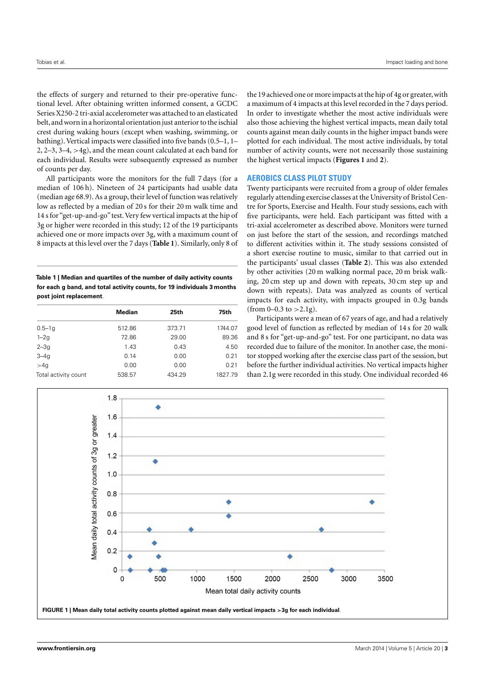the effects of surgery and returned to their pre-operative functional level. After obtaining written informed consent, a GCDC Series X250-2 tri-axial accelerometer was attached to an elasticated belt, and worn in a horizontal orientation just anterior to the ischial crest during waking hours (except when washing, swimming, or bathing). Vertical impacts were classified into five bands (0.5–1, 1– 2, 2–3, 3–4, >4g), and the mean count calculated at each band for each individual. Results were subsequently expressed as number of counts per day.

All participants wore the monitors for the full 7 days (for a median of 106 h). Nineteen of 24 participants had usable data (median age 68.9). As a group, their level of function was relatively low as reflected by a median of 20 s for their 20 m walk time and 14 s for"get-up-and-go"test. Very few vertical impacts at the hip of 3g or higher were recorded in this study; 12 of the 19 participants achieved one or more impacts over 3g, with a maximum count of 8 impacts at this level over the 7 days (**[Table 1](#page-2-0)**). Similarly, only 8 of

<span id="page-2-0"></span>**Table 1 | Median and quartiles of the number of daily activity counts for each g band, and total activity counts, for 19 individuals 3 months post joint replacement**.

|                      | <b>Median</b> | <b>25th</b> | 75th    |
|----------------------|---------------|-------------|---------|
| $0.5 - 1q$           | 512.86        | 373.71      | 1744.07 |
| $1-2g$               | 72.86         | 29.00       | 89.36   |
| $2 - 3g$             | 1.43          | 0.43        | 4.50    |
| $3-4g$               | 0.14          | 0.00        | 0.21    |
| >4g                  | 0.00          | 0.00        | 0.21    |
| Total activity count | 538.57        | 434.29      | 1827.79 |
|                      |               |             |         |

the 19 achieved one or more impacts at the hip of 4g or greater, with a maximum of 4 impacts at this level recorded in the 7 days period. In order to investigate whether the most active individuals were also those achieving the highest vertical impacts, mean daily total counts against mean daily counts in the higher impact bands were plotted for each individual. The most active individuals, by total number of activity counts, were not necessarily those sustaining the highest vertical impacts (**[Figures 1](#page-2-1)** and **[2](#page-3-0)**).

## **AEROBICS CLASS PILOT STUDY**

Twenty participants were recruited from a group of older females regularly attending exercise classes at the University of Bristol Centre for Sports, Exercise and Health. Four study sessions, each with five participants, were held. Each participant was fitted with a tri-axial accelerometer as described above. Monitors were turned on just before the start of the session, and recordings matched to different activities within it. The study sessions consisted of a short exercise routine to music, similar to that carried out in the participants' usual classes (**[Table 2](#page-3-1)**). This was also extended by other activities (20 m walking normal pace, 20 m brisk walking, 20 cm step up and down with repeats, 30 cm step up and down with repeats). Data was analyzed as counts of vertical impacts for each activity, with impacts grouped in 0.3g bands  $(from 0-0.3 to > 2.1g).$ 

Participants were a mean of 67 years of age, and had a relatively good level of function as reflected by median of 14 s for 20 walk and 8 s for "get-up-and-go" test. For one participant, no data was recorded due to failure of the monitor. In another case, the monitor stopped working after the exercise class part of the session, but before the further individual activities. No vertical impacts higher than 2.1g were recorded in this study. One individual recorded 46

<span id="page-2-1"></span>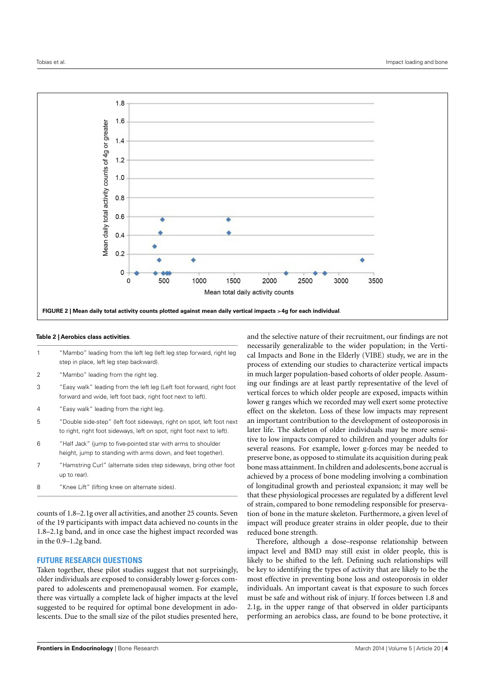

#### <span id="page-3-1"></span><span id="page-3-0"></span>**Table 2 | Aerobics class activities**.

- 1 "Mambo" leading from the left leg (left leg step forward, right leg step in place, left leg step backward).
- 2 "Mambo" leading from the right leg.
- 3 "Easy walk" leading from the left leg (Left foot forward, right foot forward and wide, left foot back, right foot next to left).
- 4 "Easy walk" leading from the right leg.
- 5 "Double side-step" (left foot sideways, right on spot, left foot next to right, right foot sideways, left on spot, right foot next to left).
- 6 "Half Jack" (jump to five-pointed star with arms to shoulder height, jump to standing with arms down, and feet together).
- 7 "Hamstring Curl" (alternate sides step sideways, bring other foot up to rear).
- 8 "Knee Lift" (lifting knee on alternate sides).

counts of 1.8–2.1g over all activities, and another 25 counts. Seven of the 19 participants with impact data achieved no counts in the 1.8–2.1g band, and in once case the highest impact recorded was in the 0.9–1.2g band.

## **FUTURE RESEARCH QUESTIONS**

Taken together, these pilot studies suggest that not surprisingly, older individuals are exposed to considerably lower g-forces compared to adolescents and premenopausal women. For example, there was virtually a complete lack of higher impacts at the level suggested to be required for optimal bone development in adolescents. Due to the small size of the pilot studies presented here, and the selective nature of their recruitment, our findings are not necessarily generalizable to the wider population; in the Vertical Impacts and Bone in the Elderly (VIBE) study, we are in the process of extending our studies to characterize vertical impacts in much larger population-based cohorts of older people. Assuming our findings are at least partly representative of the level of vertical forces to which older people are exposed, impacts within lower g ranges which we recorded may well exert some protective effect on the skeleton. Loss of these low impacts may represent an important contribution to the development of osteoporosis in later life. The skeleton of older individuals may be more sensitive to low impacts compared to children and younger adults for several reasons. For example, lower g-forces may be needed to preserve bone, as opposed to stimulate its acquisition during peak bone mass attainment. In children and adolescents, bone accrual is achieved by a process of bone modeling involving a combination of longitudinal growth and periosteal expansion; it may well be that these physiological processes are regulated by a different level of strain, compared to bone remodeling responsible for preservation of bone in the mature skeleton. Furthermore, a given level of impact will produce greater strains in older people, due to their reduced bone strength.

Therefore, although a dose–response relationship between impact level and BMD may still exist in older people, this is likely to be shifted to the left. Defining such relationships will be key to identifying the types of activity that are likely to be the most effective in preventing bone loss and osteoporosis in older individuals. An important caveat is that exposure to such forces must be safe and without risk of injury. If forces between 1.8 and 2.1g, in the upper range of that observed in older participants performing an aerobics class, are found to be bone protective, it